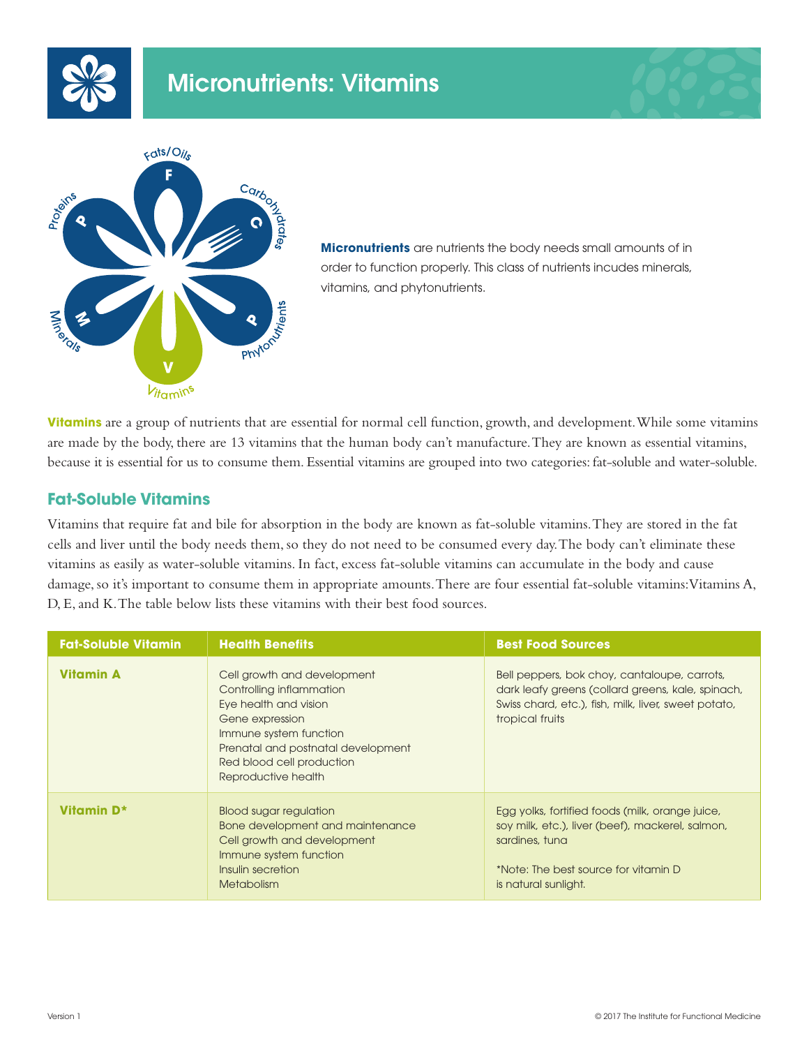





**Micronutrients** are nutrients the body needs small amounts of in order to function properly. This class of nutrients incudes minerals, vitamins, and phytonutrients.

**Vitamins** are a group of nutrients that are essential for normal cell function, growth, and development. While some vitamins are made by the body, there are 13 vitamins that the human body can't manufacture. They are known as essential vitamins, because it is essential for us to consume them. Essential vitamins are grouped into two categories: fat-soluble and water-soluble.

# **Fat-Soluble Vitamins**

Vitamins that require fat and bile for absorption in the body are known as fat-soluble vitamins. They are stored in the fat cells and liver until the body needs them, so they do not need to be consumed every day. The body can't eliminate these vitamins as easily as water-soluble vitamins. In fact, excess fat-soluble vitamins can accumulate in the body and cause damage, so it's important to consume them in appropriate amounts. There are four essential fat-soluble vitamins: Vitamins A, D, E, and K. The table below lists these vitamins with their best food sources.

| <b>Fat-Soluble Vitamin</b> | <b>Health Benefits</b>                                                                                                                                                                                                  | <b>Best Food Sources</b>                                                                                                                                                              |
|----------------------------|-------------------------------------------------------------------------------------------------------------------------------------------------------------------------------------------------------------------------|---------------------------------------------------------------------------------------------------------------------------------------------------------------------------------------|
| <b>Vitamin A</b>           | Cell growth and development<br>Controlling inflammation<br>Eye health and vision<br>Gene expression<br>Immune system function<br>Prenatal and postnatal development<br>Red blood cell production<br>Reproductive health | Bell peppers, bok choy, cantaloupe, carrots,<br>dark leafy greens (collard greens, kale, spinach,<br>Swiss chard, etc.), fish, milk, liver, sweet potato,<br>tropical fruits          |
| Vitamin D*                 | <b>Blood sugar regulation</b><br>Bone development and maintenance<br>Cell growth and development<br>Immune system function<br>Insulin secretion<br><b>Metabolism</b>                                                    | Egg yolks, fortified foods (milk, orange juice,<br>soy milk, etc.), liver (beef), mackerel, salmon,<br>sardines, tuna<br>*Note: The best source for vitamin D<br>is natural sunlight. |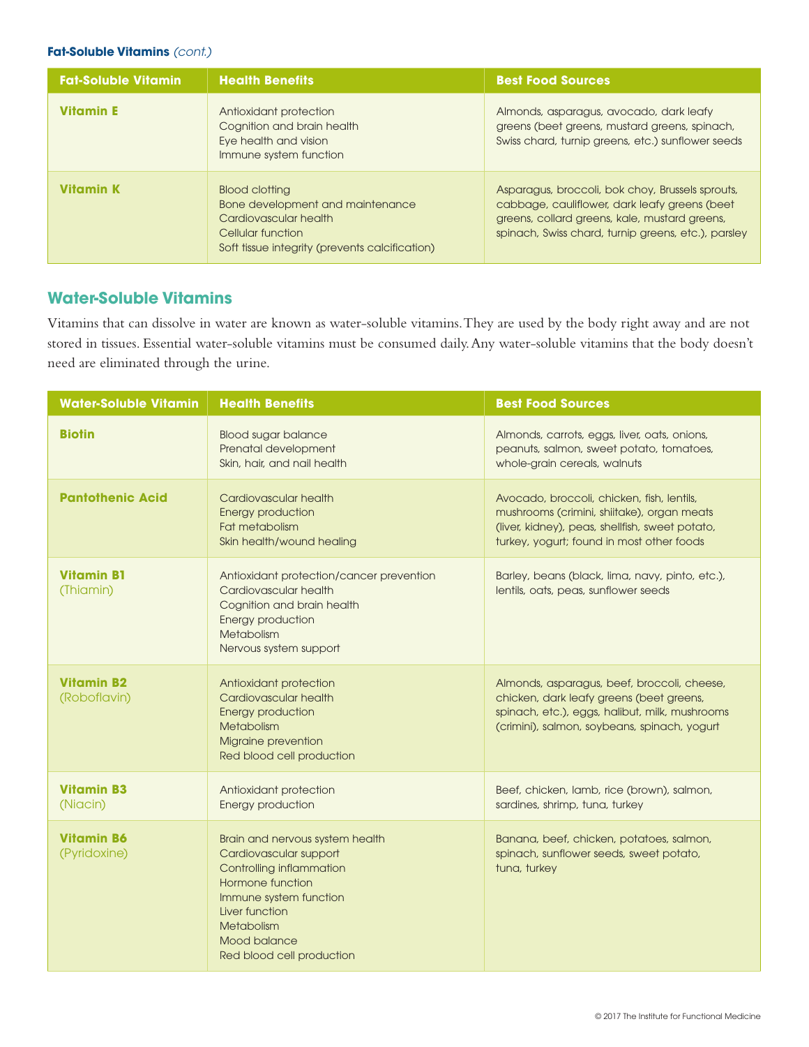## **Fat-Soluble Vitamins** *(cont.)*

| <b>Fat-Soluble Vitamin</b> | <b>Health Benefits</b>                                                                                                                                    | <b>Best Food Sources</b>                                                                                                                                                                                  |
|----------------------------|-----------------------------------------------------------------------------------------------------------------------------------------------------------|-----------------------------------------------------------------------------------------------------------------------------------------------------------------------------------------------------------|
| <b>Vitamin E</b>           | Antioxidant protection<br>Cognition and brain health<br>Eye health and vision<br>Immune system function                                                   | Almonds, asparagus, avocado, dark leafy<br>greens (beet greens, mustard greens, spinach,<br>Swiss chard, turnip greens, etc.) sunflower seeds                                                             |
| <b>Vitamin K</b>           | <b>Blood clotting</b><br>Bone development and maintenance<br>Cardiovascular health<br>Cellular function<br>Soft tissue integrity (prevents calcification) | Asparagus, broccoli, bok choy, Brussels sprouts,<br>cabbage, cauliflower, dark leafy greens (beet<br>greens, collard greens, kale, mustard greens,<br>spinach, Swiss chard, turnip greens, etc.), parsley |

## **Water-Soluble Vitamins**

Vitamins that can dissolve in water are known as water-soluble vitamins. They are used by the body right away and are not stored in tissues. Essential water-soluble vitamins must be consumed daily. Any water-soluble vitamins that the body doesn't need are eliminated through the urine.

| <b>Water-Soluble Vitamin</b>      | <b>Health Benefits</b>                                                                                                                                                                                                  | <b>Best Food Sources</b>                                                                                                                                                                  |
|-----------------------------------|-------------------------------------------------------------------------------------------------------------------------------------------------------------------------------------------------------------------------|-------------------------------------------------------------------------------------------------------------------------------------------------------------------------------------------|
| <b>Biotin</b>                     | <b>Blood sugar balance</b><br>Prenatal development<br>Skin, hair, and nail health                                                                                                                                       | Almonds, carrots, eggs, liver, oats, onions,<br>peanuts, salmon, sweet potato, tomatoes,<br>whole-grain cereals, walnuts                                                                  |
| <b>Pantothenic Acid</b>           | Cardiovascular health<br><b>Energy production</b><br>Fat metabolism<br>Skin health/wound healing                                                                                                                        | Avocado, broccoli, chicken, fish, lentils,<br>mushrooms (crimini, shiitake), organ meats<br>(liver, kidney), peas, shellfish, sweet potato,<br>turkey, yogurt; found in most other foods  |
| <b>Vitamin B1</b><br>(Thiamin)    | Antioxidant protection/cancer prevention<br>Cardiovascular health<br>Cognition and brain health<br><b>Energy production</b><br>Metabolism<br>Nervous system support                                                     | Barley, beans (black, lima, navy, pinto, etc.),<br>lentils, oats, peas, sunflower seeds                                                                                                   |
| <b>Vitamin B2</b><br>(Roboflavin) | Antioxidant protection<br>Cardiovascular health<br><b>Energy production</b><br>Metabolism<br>Migraine prevention<br>Red blood cell production                                                                           | Almonds, asparagus, beef, broccoli, cheese,<br>chicken, dark leafy greens (beet greens,<br>spinach, etc.), eggs, halibut, milk, mushrooms<br>(crimini), salmon, soybeans, spinach, yogurt |
| <b>Vitamin B3</b><br>(Niacin)     | Antioxidant protection<br>Energy production                                                                                                                                                                             | Beef, chicken, lamb, rice (brown), salmon,<br>sardines, shrimp, tuna, turkey                                                                                                              |
| <b>Vitamin B6</b><br>(Pyridoxine) | Brain and nervous system health<br>Cardiovascular support<br>Controlling inflammation<br>Hormone function<br>Immune system function<br>Liver function<br><b>Metabolism</b><br>Mood balance<br>Red blood cell production | Banana, beef, chicken, potatoes, salmon,<br>spinach, sunflower seeds, sweet potato,<br>tuna, turkey                                                                                       |